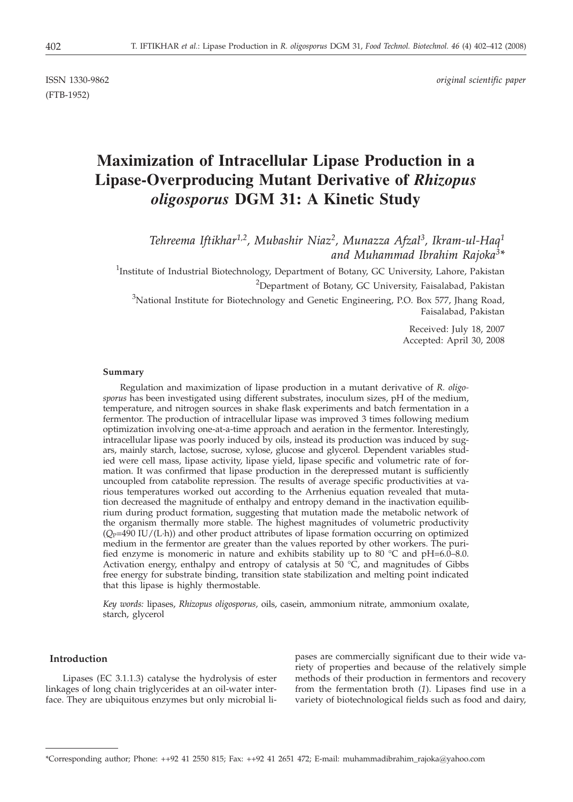(FTB-1952)

ISSN 1330-9862 *original scientific paper*

# **Maximization of Intracellular Lipase Production in a Lipase-Overproducing Mutant Derivative of** *Rhizopus oligosporus* **DGM 31: A Kinetic Study**

*Tehreema Iftikhar1,2, Mubashir Niaz2, Munazza Afzal3, Ikram-ul-Haq1 and Muhammad Ibrahim Rajoka3\**

<sup>1</sup>Institute of Industrial Biotechnology, Department of Botany, GC University, Lahore, Pakistan

<sup>2</sup>Department of Botany, GC University, Faisalabad, Pakistan

 $3$ National Institute for Biotechnology and Genetic Engineering, P.O. Box 577, Jhang Road, Faisalabad, Pakistan

> Received: July 18, 2007 Accepted: April 30, 2008

#### **Summary**

Regulation and maximization of lipase production in a mutant derivative of *R. oligosporus* has been investigated using different substrates, inoculum sizes, pH of the medium, temperature, and nitrogen sources in shake flask experiments and batch fermentation in a fermentor. The production of intracellular lipase was improved 3 times following medium optimization involving one-at-a-time approach and aeration in the fermentor. Interestingly, intracellular lipase was poorly induced by oils, instead its production was induced by sugars, mainly starch, lactose, sucrose, xylose, glucose and glycerol. Dependent variables studied were cell mass, lipase activity, lipase yield, lipase specific and volumetric rate of formation. It was confirmed that lipase production in the derepressed mutant is sufficiently uncoupled from catabolite repression. The results of average specific productivities at various temperatures worked out according to the Arrhenius equation revealed that mutation decreased the magnitude of enthalpy and entropy demand in the inactivation equilibrium during product formation, suggesting that mutation made the metabolic network of the organism thermally more stable. The highest magnitudes of volumetric productivity  $(Q_P=490 \text{ IU}/(\text{L-h})$  and other product attributes of lipase formation occurring on optimized medium in the fermentor are greater than the values reported by other workers. The purified enzyme is monomeric in nature and exhibits stability up to 80 °C and pH=6.0–8.0. Activation energy, enthalpy and entropy of catalysis at  $50 °C$ , and magnitudes of Gibbs free energy for substrate binding, transition state stabilization and melting point indicated that this lipase is highly thermostable.

*Key words:* lipases, *Rhizopus oligosporus,* oils, casein, ammonium nitrate, ammonium oxalate, starch, glycerol

# **Introduction**

Lipases (EC 3.1.1.3) catalyse the hydrolysis of ester linkages of long chain triglycerides at an oil-water interface. They are ubiquitous enzymes but only microbial lipases are commercially significant due to their wide variety of properties and because of the relatively simple methods of their production in fermentors and recovery from the fermentation broth (*1*). Lipases find use in a variety of biotechnological fields such as food and dairy,

<sup>\*</sup>Corresponding author; Phone: ++92 41 2550 815; Fax: ++92 41 2651 472; E-mail: muhammadibrahim rajoka@yahoo.com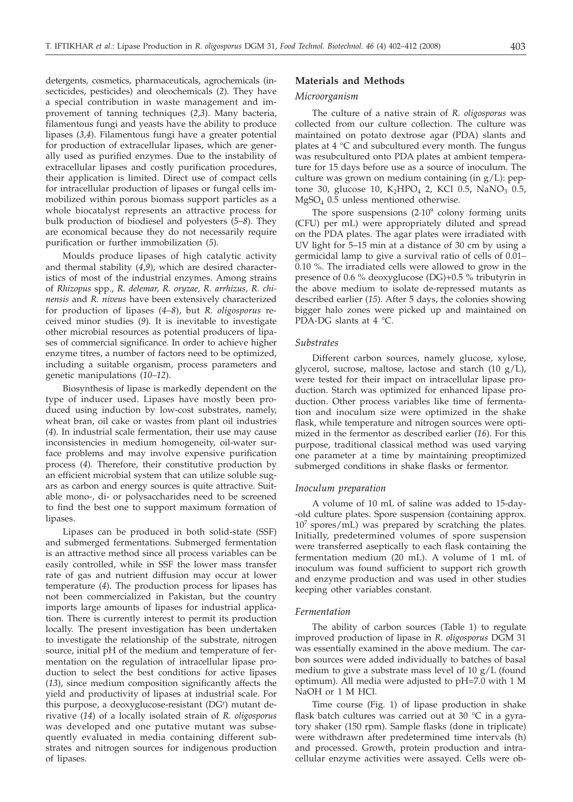detergents, cosmetics, pharmaceuticals, agrochemicals (insecticides, pesticides) and oleochemicals (*2*). They have a special contribution in waste management and improvement of tanning techniques (*2*,*3*). Many bacteria, filamentous fungi and yeasts have the ability to produce lipases (*3,4*). Filamentous fungi have a greater potential for production of extracellular lipases, which are generally used as purified enzymes. Due to the instability of extracellular lipases and costly purification procedures, their application is limited. Direct use of compact cells for intracellular production of lipases or fungal cells immobilized within porous biomass support particles as a whole biocatalyst represents an attractive process for bulk production of biodiesel and polyesters (*5–8*). They are economical because they do not necessarily require purification or further immobilization (*5*)*.*

Moulds produce lipases of high catalytic activity and thermal stability (*4*,*9*), which are desired characteristics of most of the industrial enzymes. Among strains of *Rhizopus* spp., *R. delemar, R. oryzae, R. arrhizus, R. chinensis* and *R. niveus* have been extensively characterized for production of lipases (*4*–*8*), but *R. oligosporus* received minor studies (*9*). It is inevitable to investigate other microbial resources as potential producers of lipases of commercial significance. In order to achieve higher enzyme titres, a number of factors need to be optimized, including a suitable organism, process parameters and genetic manipulations (*10*–*12*).

Biosynthesis of lipase is markedly dependent on the type of inducer used. Lipases have mostly been produced using induction by low-cost substrates, namely, wheat bran, oil cake or wastes from plant oil industries (*4*). In industrial scale fermentation, their use may cause inconsistencies in medium homogeneity, oil-water surface problems and may involve expensive purification process (*4*). Therefore, their constitutive production by an efficient microbial system that can utilize soluble sugars as carbon and energy sources is quite attractive. Suitable mono-, di- or polysaccharides need to be screened to find the best one to support maximum formation of lipases.

Lipases can be produced in both solid-state (SSF) and submerged fermentations. Submerged fermentation is an attractive method since all process variables can be easily controlled, while in SSF the lower mass transfer rate of gas and nutrient diffusion may occur at lower temperature (*4*). The production process for lipases has not been commercialized in Pakistan, but the country imports large amounts of lipases for industrial application. There is currently interest to permit its production locally. The present investigation has been undertaken to investigate the relationship of the substrate, nitrogen source, initial pH of the medium and temperature of fermentation on the regulation of intracellular lipase production to select the best conditions for active lipases (*13*), since medium composition significantly affects the yield and productivity of lipases at industrial scale. For this purpose, a deoxyglucose-resistant (DG<sup>r</sup>) mutant derivative (*14*) of a locally isolated strain of *R. oligosporus* was developed and one putative mutant was subsequently evaluated in media containing different substrates and nitrogen sources for indigenous production of lipases.

# **Materials and Methods**

## *Microorganism*

The culture of a native strain of *R. oligosporus* was collected from our culture collection. The culture was maintained on potato dextrose agar (PDA) slants and plates at 4 °C and subcultured every month. The fungus was resubcultured onto PDA plates at ambient temperature for 15 days before use as a source of inoculum. The culture was grown on medium containing (in  $g/L$ ): peptone 30, glucose 10,  $K_2HPO_4$  2, KCl 0.5, NaNO<sub>3</sub> 0.5, MgSO<sub>4</sub> 0.5 unless mentioned otherwise.

The spore suspensions  $(2.10^9)$  colony forming units (CFU) per mL) were appropriately diluted and spread on the PDA plates. The agar plates were irradiated with UV light for 5–15 min at a distance of 30 cm by using a germicidal lamp to give a survival ratio of cells of 0.01– 0.10 %. The irradiated cells were allowed to grow in the presence of 0.6 % deoxyglucose (DG)+0.5 % tributyrin in the above medium to isolate de-repressed mutants as described earlier (*15*). After 5 days, the colonies showing bigger halo zones were picked up and maintained on PDA-DG slants at 4 °C.

## *Substrates*

Different carbon sources, namely glucose, xylose, glycerol, sucrose, maltose, lactose and starch (10 g/L), were tested for their impact on intracellular lipase production. Starch was optimized for enhanced lipase production. Other process variables like time of fermentation and inoculum size were optimized in the shake flask, while temperature and nitrogen sources were optimized in the fermentor as described earlier (*16*). For this purpose, traditional classical method was used varying one parameter at a time by maintaining preoptimized submerged conditions in shake flasks or fermentor.

## *Inoculum preparation*

A volume of 10 mL of saline was added to 15-day- -old culture plates. Spore suspension (containing approx. 107 spores/mL) was prepared by scratching the plates. Initially, predetermined volumes of spore suspension were transferred aseptically to each flask containing the fermentation medium (20 mL). A volume of 1 mL of inoculum was found sufficient to support rich growth and enzyme production and was used in other studies keeping other variables constant.

#### *Fermentation*

The ability of carbon sources (Table 1) to regulate improved production of lipase in *R. oligosporus* DGM 31 was essentially examined in the above medium. The carbon sources were added individually to batches of basal medium to give a substrate mass level of 10 g/L (found optimum). All media were adjusted to pH=7.0 with 1 M NaOH or 1 M HCl.

Time course (Fig. 1) of lipase production in shake flask batch cultures was carried out at 30  $^{\circ}$ C in a gyratory shaker (150 rpm). Sample flasks (done in triplicate) were withdrawn after predetermined time intervals (h) and processed. Growth, protein production and intracellular enzyme activities were assayed. Cells were ob-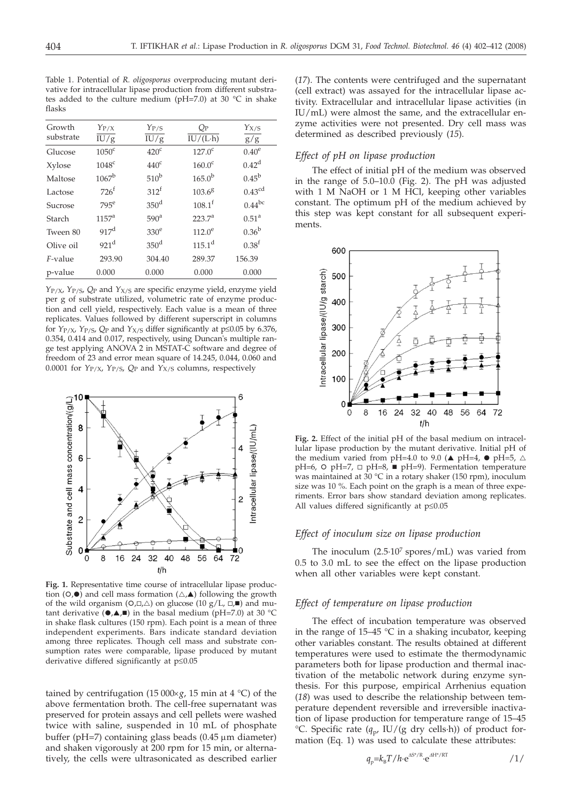Table 1. Potential of *R. oligosporus* overproducing mutant derivative for intracellular lipase production from different substrates added to the culture medium ( $pH=7.0$ ) at 30 °C in shake flasks

| Growth    | $Y_{P/X}$         | $Y_{P/S}$        | $Q_{\rm P}$        | $Y_{X/S}$          |
|-----------|-------------------|------------------|--------------------|--------------------|
| substrate | IU/g              | IU/g             | $IU/(L \cdot h)$   | g/g                |
| Glucose   | $1050^{\circ}$    | 420 <sup>c</sup> | $127.0^{\circ}$    | $0.40^\mathrm{e}$  |
| Xylose    | 1048 <sup>c</sup> | 440 <sup>c</sup> | $160.0^{\circ}$    | $0.42^{\rm d}$     |
| Maltose   | $1067^{\rm b}$    | $510^{\rm b}$    | $165.0^{b}$        | $0.45^{\rm b}$     |
| Lactose   | $726^f$           | 312 <sup>f</sup> | $103.6^{8}$        | 0.43 <sup>cd</sup> |
| Sucrose   | $795^e$           | 350 <sup>d</sup> | $108.1^{\text{f}}$ | $0.44^{bc}$        |
| Starch    | 1157 <sup>a</sup> | 590 <sup>a</sup> | $223.7^a$          | $0.51^{\rm a}$     |
| Tween 80  | 917 <sup>d</sup>  | 330 <sup>e</sup> | $112.0^e$          | $0.36^{b}$         |
| Olive oil | 921 <sup>d</sup>  | $350^{\rm d}$    | $115.1^{\rm d}$    | 0.38 <sup>f</sup>  |
| F-value   | 293.90            | 304.40           | 289.37             | 156.39             |
| p-value   | 0.000             | 0.000            | 0.000              | 0.000              |

*Y*P/X, *Y*P/S, *Q*P and *Y*X/S are specific enzyme yield, enzyme yield per g of substrate utilized, volumetric rate of enzyme production and cell yield, respectively. Each value is a mean of three replicates. Values followed by different superscript in columns for  $Y_{P/X}$ ,  $Y_{P/S}$ ,  $Q_P$  and  $Y_{X/S}$  differ significantly at  $p \le 0.05$  by 6.376, 0.354, 0.414 and 0.017, respectively, using Duncan's multiple range test applying ANOVA 2 in MSTAT-C software and degree of freedom of 23 and error mean square of 14.245, 0.044, 0.060 and 0.0001 for *Y*P/X, *Y*P/S, *Q*P and *Y*X/S columns, respectively



**Fig. 1***.* Representative time course of intracellular lipase production ( $\circ$ , $\bullet$ ) and cell mass formation ( $\triangle$ , $\blacktriangle$ ) following the growth of the wild organism ( $O$ , $\Box$ , $\triangle$ ) on glucose (10 g/L,  $\Box$ , $\blacksquare$ ) and mutant derivative  $(\bullet,\blacktriangle,\blacksquare)$  in the basal medium (pH=7.0) at 30 °C in shake flask cultures (150 rpm). Each point is a mean of three independent experiments. Bars indicate standard deviation among three replicates. Though cell mass and substrate consumption rates were comparable, lipase produced by mutant derivative differed significantly at  $p \leq 0.05$ 

tained by centrifugation (15 000 $\times$ *g*, 15 min at 4 °C) of the above fermentation broth. The cell-free supernatant was preserved for protein assays and cell pellets were washed twice with saline, suspended in 10 mL of phosphate buffer ( $pH=7$ ) containing glass beads (0.45  $\mu$ m diameter) and shaken vigorously at 200 rpm for 15 min, or alternatively, the cells were ultrasonicated as described earlier (*17*). The contents were centrifuged and the supernatant (cell extract) was assayed for the intracellular lipase activity. Extracellular and intracellular lipase activities (in IU/mL) were almost the same, and the extracellular enzyme activities were not presented. Dry cell mass was determined as described previously (*15*).

## *Effect of pH on lipase production*

The effect of initial pH of the medium was observed in the range of  $5.0-10.\overline{0}$  (Fig. 2). The pH was adjusted with 1 M NaOH or 1 M HCl, keeping other variables constant. The optimum pH of the medium achieved by this step was kept constant for all subsequent experiments.



**Fig. 2.** Effect of the initial pH of the basal medium on intracellular lipase production by the mutant derivative. Initial pH of the medium varied from pH=4.0 to 9.0 ( $\triangle$  pH=4,  $\bullet$  pH=5,  $\triangle$ pH=6, O pH=7, □ pH=8, ■ pH=9). Fermentation temperature was maintained at  $30 °C$  in a rotary shaker (150 rpm), inoculum size was 10 %. Each point on the graph is a mean of three experiments. Error bars show standard deviation among replicates. All values differed significantly at  $p \leq 0.05$ 

#### *Effect of inoculum size on lipase production*

The inoculum  $(2.5 \cdot 10^7 \text{ spores/mL})$  was varied from 0.5 to 3.0 mL to see the effect on the lipase production when all other variables were kept constant.

## *Effect of temperature on lipase production*

The effect of incubation temperature was observed in the range of  $15-45$  °C in a shaking incubator, keeping other variables constant. The results obtained at different temperatures were used to estimate the thermodynamic parameters both for lipase production and thermal inactivation of the metabolic network during enzyme synthesis. For this purpose, empirical Arrhenius equation (*18*) was used to describe the relationship between temperature dependent reversible and irreversible inactivation of lipase production for temperature range of 15–45 °C. Specific rate ( $q_p$ , IU/(g dry cells-h)) of product formation  $(Eq. 1)$  was used to calculate these attributes:

$$
q_{\rm p} = k_{\rm B} T / h \cdot \mathrm{e}^{\Delta S^* / R} \cdot \mathrm{e}^{\Delta H^* / RT} \tag{1/2}
$$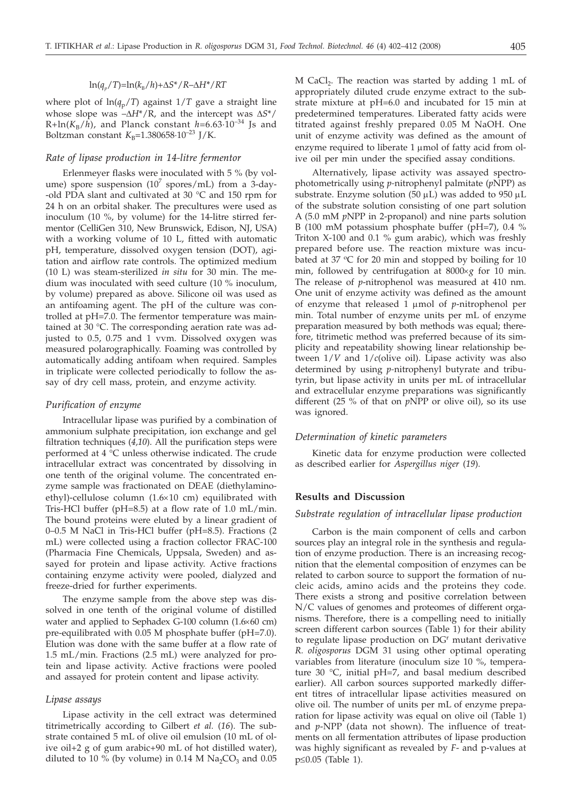# $ln(q_p/T)=ln(k_B/h)+\Delta S^*/R-\Delta H^*/RT$

where plot of  $\ln(q_p/T)$  against  $1/T$  gave a straight line whose slope was  $-\Delta H^*/R$ , and the intercept was  $\Delta S^*/R$  $R + ln(K_B/h)$ , and Planck constant  $h=6.63 \cdot 10^{-34}$  Js and Boltzman constant  $K_{\rm B}$ =1.380658·10<sup>-23</sup> J/K.

# *Rate of lipase production in 14-litre fermentor*

Erlenmeyer flasks were inoculated with 5 % (by volume) spore suspension  $(10^7 \text{ spores/mL})$  from a 3-day--old PDA slant and cultivated at 30 °C and 150 rpm for 24 h on an orbital shaker. The precultures were used as inoculum (10 %, by volume) for the 14-litre stirred fermentor (CelliGen 310, New Brunswick, Edison, NJ, USA) with a working volume of 10 L, fitted with automatic pH, temperature, dissolved oxygen tension (DOT), agitation and airflow rate controls. The optimized medium (10 L) was steam-sterilized *in situ* for 30 min. The medium was inoculated with seed culture (10 % inoculum, by volume) prepared as above. Silicone oil was used as an antifoaming agent. The pH of the culture was controlled at pH=7.0. The fermentor temperature was maintained at 30 °C. The corresponding aeration rate was adjusted to 0.5, 0.75 and 1 vvm. Dissolved oxygen was measured polarographically. Foaming was controlled by automatically adding antifoam when required. Samples in triplicate were collected periodically to follow the assay of dry cell mass, protein, and enzyme activity.

#### *Purification of enzyme*

Intracellular lipase was purified by a combination of ammonium sulphate precipitation, ion exchange and gel filtration techniques (*4,10*). All the purification steps were performed at 4 °C unless otherwise indicated. The crude intracellular extract was concentrated by dissolving in one tenth of the original volume. The concentrated enzyme sample was fractionated on DEAE (diethylaminoethyl)-cellulose column  $(1.6\times10$  cm) equilibrated with Tris-HCl buffer (pH=8.5) at a flow rate of 1.0 mL/min. The bound proteins were eluted by a linear gradient of 0–0.5 M NaCl in Tris-HCl buffer (pH=8.5). Fractions (2 mL) were collected using a fraction collector FRAC-100 (Pharmacia Fine Chemicals, Uppsala, Sweden) and assayed for protein and lipase activity. Active fractions containing enzyme activity were pooled, dialyzed and freeze-dried for further experiments.

The enzyme sample from the above step was dissolved in one tenth of the original volume of distilled water and applied to Sephadex G-100 column  $(1.6\times60$  cm) pre-equilibrated with 0.05 M phosphate buffer (pH=7.0). Elution was done with the same buffer at a flow rate of 1.5 mL/min. Fractions (2.5 mL) were analyzed for protein and lipase activity. Active fractions were pooled and assayed for protein content and lipase activity.

## *Lipase assays*

Lipase activity in the cell extract was determined titrimetrically according to Gilbert *et al.* (*16*). The substrate contained 5 mL of olive oil emulsion (10 mL of olive oil+2 g of gum arabic+90 mL of hot distilled water), diluted to 10 % (by volume) in 0.14 M  $Na<sub>2</sub>CO<sub>3</sub>$  and 0.05

M CaCl<sub>2</sub>. The reaction was started by adding 1 mL of appropriately diluted crude enzyme extract to the substrate mixture at pH=6.0 and incubated for 15 min at predetermined temperatures. Liberated fatty acids were titrated against freshly prepared 0.05 M NaOH. One unit of enzyme activity was defined as the amount of enzyme required to liberate 1 µmol of fatty acid from olive oil per min under the specified assay conditions.

Alternatively, lipase activity was assayed spectrophotometrically using *p-*nitrophenyl palmitate (*p*NPP) as substrate. Enzyme solution (50  $\mu$ L) was added to 950  $\mu$ L of the substrate solution consisting of one part solution A (5.0 mM *p*NPP in 2-propanol) and nine parts solution B (100 mM potassium phosphate buffer (pH=7), 0.4 % Triton X-100 and 0.1 % gum arabic), which was freshly prepared before use. The reaction mixture was incubated at 37 °C for 20 min and stopped by boiling for 10 min, followed by centrifugation at  $8000 \times g$  for 10 min. The release of *p*-nitrophenol was measured at 410 nm. One unit of enzyme activity was defined as the amount of enzyme that released 1 mmol of *<sup>p</sup>*-nitrophenol per min. Total number of enzyme units per mL of enzyme preparation measured by both methods was equal; therefore, titrimetic method was preferred because of its simplicity and repeatability showing linear relationship between 1/*V* and 1/*c*(olive oil). Lipase activity was also determined by using *p-*nitrophenyl butyrate and tributyrin, but lipase activity in units per mL of intracellular and extracellular enzyme preparations was significantly different (25 % of that on *p*NPP or olive oil), so its use was ignored.

## *Determination of kinetic parameters*

Kinetic data for enzyme production were collected as described earlier for *Aspergillus niger* (*19*).

## **Results and Discussion**

#### *Substrate regulation of intracellular lipase production*

Carbon is the main component of cells and carbon sources play an integral role in the synthesis and regulation of enzyme production. There is an increasing recognition that the elemental composition of enzymes can be related to carbon source to support the formation of nucleic acids, amino acids and the proteins they code. There exists a strong and positive correlation between N/C values of genomes and proteomes of different organisms. Therefore, there is a compelling need to initially screen different carbon sources (Table 1) for their ability to regulate lipase production on  $DG<sup>r</sup>$  mutant derivative *R. oligosporus* DGM 31 using other optimal operating variables from literature (inoculum size 10 %, temperature 30 °C, initial pH=7, and basal medium described earlier). All carbon sources supported markedly different titres of intracellular lipase activities measured on olive oil. The number of units per mL of enzyme preparation for lipase activity was equal on olive oil (Table 1) and *p*-NPP (data not shown). The influence of treatments on all fermentation attributes of lipase production was highly significant as revealed by *F*- and p-values at p£0.05 (Table 1).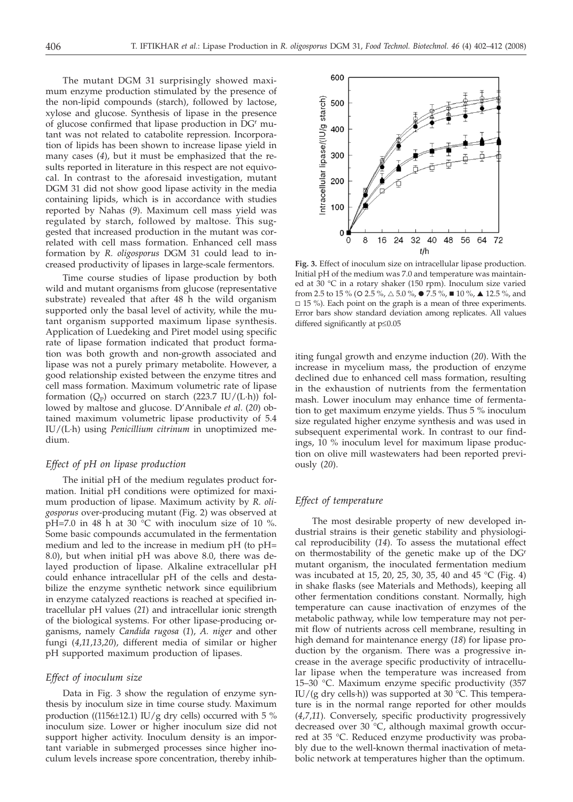The mutant DGM 31 surprisingly showed maximum enzyme production stimulated by the presence of the non-lipid compounds (starch), followed by lactose, xylose and glucose. Synthesis of lipase in the presence of glucose confirmed that lipase production in DGr mutant was not related to catabolite repression. Incorporation of lipids has been shown to increase lipase yield in many cases (*4*), but it must be emphasized that the results reported in literature in this respect are not equivocal. In contrast to the aforesaid investigation, mutant DGM 31 did not show good lipase activity in the media containing lipids, which is in accordance with studies reported by Nahas (*9*). Maximum cell mass yield was regulated by starch, followed by maltose. This suggested that increased production in the mutant was correlated with cell mass formation. Enhanced cell mass formation by *R. oligosporus* DGM 31 could lead to increased productivity of lipases in large-scale fermentors.

Time course studies of lipase production by both wild and mutant organisms from glucose (representative substrate) revealed that after 48 h the wild organism supported only the basal level of activity, while the mutant organism supported maximum lipase synthesis. Application of Luedeking and Piret model using specific rate of lipase formation indicated that product formation was both growth and non-growth associated and lipase was not a purely primary metabolite. However, a good relationship existed between the enzyme titres and cell mass formation. Maximum volumetric rate of lipase formation  $(Q_P)$  occurred on starch (223.7 IU/(L·h)) followed by maltose and glucose. D'Annibale *et al*. (*20*) obtained maximum volumetric lipase productivity of 5.4 IU/(L·h) using *Penicillium citrinum* in unoptimized medium.

# *Effect of pH on lipase production*

The initial pH of the medium regulates product formation. Initial pH conditions were optimized for maximum production of lipase. Maximum activity by *R. oligosporus* over-producing mutant (Fig. 2) was observed at pH=7.0 in 48 h at 30  $^{\circ}$ C with inoculum size of 10 %. Some basic compounds accumulated in the fermentation medium and led to the increase in medium pH (to pH= 8.0), but when initial pH was above 8.0, there was delayed production of lipase. Alkaline extracellular pH could enhance intracellular pH of the cells and destabilize the enzyme synthetic network since equilibrium in enzyme catalyzed reactions is reached at specified intracellular pH values (*21*) and intracellular ionic strength of the biological systems. For other lipase-producing organisms, namely *Candida rugosa* (*1*), *A. niger* and other fungi (*4*,*11*,*13*,*20*), different media of similar or higher pH supported maximum production of lipases.

#### *Effect of inoculum size*

Data in Fig. 3 show the regulation of enzyme synthesis by inoculum size in time course study. Maximum production ((1156 $\pm$ 12.1) IU/g dry cells) occurred with 5 % inoculum size. Lower or higher inoculum size did not support higher activity. Inoculum density is an important variable in submerged processes since higher inoculum levels increase spore concentration, thereby inhib-



**Fig. 3.** Effect of inoculum size on intracellular lipase production. Initial pH of the medium was 7.0 and temperature was maintained at 30 °C in a rotary shaker (150 rpm). Inoculum size varied from 2.5 to 15 % (O 2.5 %,  $\triangle$  5.0 %,  $\bullet$  7.5 %,  $\blacksquare$  10 %,  $\blacktriangle$  12.5 %, and  $\Box$  15 %). Each point on the graph is a mean of three experiments. Error bars show standard deviation among replicates. All values differed significantly at  $p \leq 0.05$ 

iting fungal growth and enzyme induction (*20*). With the increase in mycelium mass, the production of enzyme declined due to enhanced cell mass formation, resulting in the exhaustion of nutrients from the fermentation mash. Lower inoculum may enhance time of fermentation to get maximum enzyme yields. Thus 5 % inoculum size regulated higher enzyme synthesis and was used in subsequent experimental work. In contrast to our findings, 10 % inoculum level for maximum lipase production on olive mill wastewaters had been reported previously (*20*).

# *Effect of temperature*

The most desirable property of new developed industrial strains is their genetic stability and physiological reproducibility (*14*). To assess the mutational effect on thermostability of the genetic make up of the DGr mutant organism, the inoculated fermentation medium was incubated at 15, 20, 25, 30, 35, 40 and 45 °C (Fig. 4) in shake flasks (see Materials and Methods), keeping all other fermentation conditions constant. Normally, high temperature can cause inactivation of enzymes of the metabolic pathway, while low temperature may not permit flow of nutrients across cell membrane, resulting in high demand for maintenance energy (*18*) for lipase production by the organism. There was a progressive increase in the average specific productivity of intracellular lipase when the temperature was increased from 15–30 °C. Maximum enzyme specific productivity (357 IU/(g dry cells·h)) was supported at 30 °C. This temperature is in the normal range reported for other moulds (*4*,*7*,*11*). Conversely, specific productivity progressively decreased over 30 °C, although maximal growth occurred at 35 °C. Reduced enzyme productivity was probably due to the well-known thermal inactivation of metabolic network at temperatures higher than the optimum.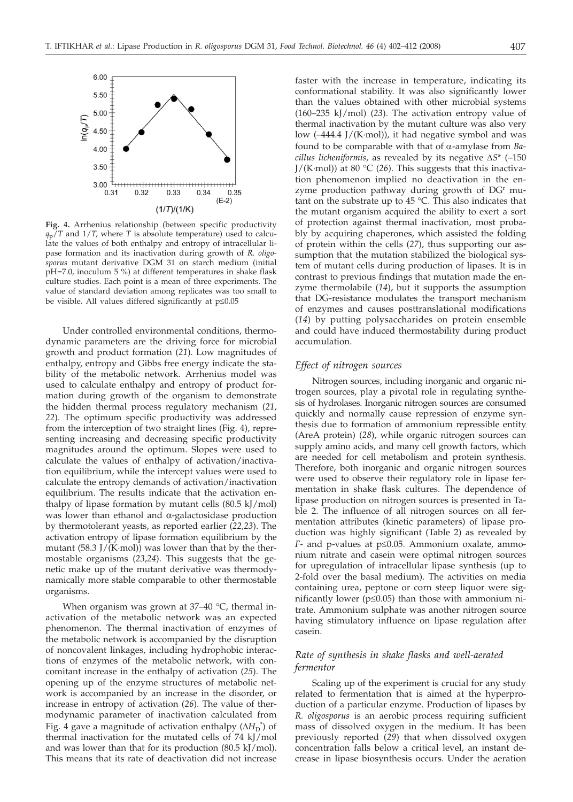

**Fig. 4.** Arrhenius relationship (between specific productivity  $q_p/T$  and  $1/T$ , where *T* is absolute temperature) used to calculate the values of both enthalpy and entropy of intracellular lipase formation and its inactivation during growth of *R. oligosporus* mutant derivative DGM 31 on starch medium (initial pH=7.0, inoculum 5 %) at different temperatures in shake flask culture studies. Each point is a mean of three experiments. The value of standard deviation among replicates was too small to be visible. All values differed significantly at  $p \leq 0.05$ 

Under controlled environmental conditions, thermodynamic parameters are the driving force for microbial growth and product formation (*21*). Low magnitudes of enthalpy, entropy and Gibbs free energy indicate the stability of the metabolic network. Arrhenius model was used to calculate enthalpy and entropy of product formation during growth of the organism to demonstrate the hidden thermal process regulatory mechanism (*21*, *22*). The optimum specific productivity was addressed from the interception of two straight lines (Fig. 4), representing increasing and decreasing specific productivity magnitudes around the optimum. Slopes were used to calculate the values of enthalpy of activation/inactivation equilibrium, while the intercept values were used to calculate the entropy demands of activation/inactivation equilibrium. The results indicate that the activation enthalpy of lipase formation by mutant cells  $(80.5 \text{ kJ/mol})$ was lower than ethanol and α-galactosidase production by thermotolerant yeasts, as reported earlier (*22,23*). The activation entropy of lipase formation equilibrium by the mutant  $(58.3$  J/(K·mol)) was lower than that by the thermostable organisms (*23*,*24*). This suggests that the genetic make up of the mutant derivative was thermodynamically more stable comparable to other thermostable organisms.

When organism was grown at  $37-40$  °C, thermal inactivation of the metabolic network was an expected phenomenon. The thermal inactivation of enzymes of the metabolic network is accompanied by the disruption of noncovalent linkages, including hydrophobic interactions of enzymes of the metabolic network, with concomitant increase in the enthalpy of activation (*25*). The opening up of the enzyme structures of metabolic network is accompanied by an increase in the disorder, or increase in entropy of activation (*26*). The value of thermodynamic parameter of inactivation calculated from Fig. 4 gave a magnitude of activation enthalpy  $(\Delta H_D^{\dagger})$  of thermal inactivation for the mutated cells of  $74 \text{ kJ/mol}$ thermal inactivation for the mutated cells of 74 kJ/mol and was lower than that for its production  $(80.5 \text{ kJ/mol})$ . This means that its rate of deactivation did not increase faster with the increase in temperature, indicating its conformational stability. It was also significantly lower than the values obtained with other microbial systems (160–235 kJ/mol) (*23*). The activation entropy value of thermal inactivation by the mutant culture was also very low (–444.4 J/(K·mol)), it had negative symbol and was found to be comparable with that of a-amylase from *Bacillus licheniformis*, as revealed by its negative  $\Delta S^*$  (-150) J/(K·mol)) at 80 °C (*26*). This suggests that this inactivation phenomenon implied no deactivation in the enzyme production pathway during growth of DG<sup>r</sup> mutant on the substrate up to 45 °C. This also indicates that the mutant organism acquired the ability to exert a sort of protection against thermal inactivation, most probably by acquiring chaperones, which assisted the folding of protein within the cells (*27*), thus supporting our assumption that the mutation stabilized the biological system of mutant cells during production of lipases. It is in contrast to previous findings that mutation made the enzyme thermolabile (*14*), but it supports the assumption that DG-resistance modulates the transport mechanism of enzymes and causes posttranslational modifications (*14*) by putting polysaccharides on protein ensemble and could have induced thermostability during product accumulation.

#### *Effect of nitrogen sources*

Nitrogen sources, including inorganic and organic nitrogen sources, play a pivotal role in regulating synthesis of hydrolases. Inorganic nitrogen sources are consumed quickly and normally cause repression of enzyme synthesis due to formation of ammonium repressible entity (AreA protein) (*28*), while organic nitrogen sources can supply amino acids, and many cell growth factors, which are needed for cell metabolism and protein synthesis. Therefore, both inorganic and organic nitrogen sources were used to observe their regulatory role in lipase fermentation in shake flask cultures. The dependence of lipase production on nitrogen sources is presented in Table 2. The influence of all nitrogen sources on all fermentation attributes (kinetic parameters) of lipase production was highly significant (Table 2) as revealed by *F*- and p-values at p≤0.05. Ammonium oxalate, ammonium nitrate and casein were optimal nitrogen sources for upregulation of intracellular lipase synthesis (up to 2-fold over the basal medium). The activities on media containing urea, peptone or corn steep liquor were significantly lower ( $p \le 0.05$ ) than those with ammonium nitrate. Ammonium sulphate was another nitrogen source having stimulatory influence on lipase regulation after casein.

# *Rate of synthesis in shake flasks and well-aerated fermentor*

Scaling up of the experiment is crucial for any study related to fermentation that is aimed at the hyperproduction of a particular enzyme. Production of lipases by *R. oligosporus* is an aerobic process requiring sufficient mass of dissolved oxygen in the medium. It has been previously reported (*29*) that when dissolved oxygen concentration falls below a critical level, an instant decrease in lipase biosynthesis occurs. Under the aeration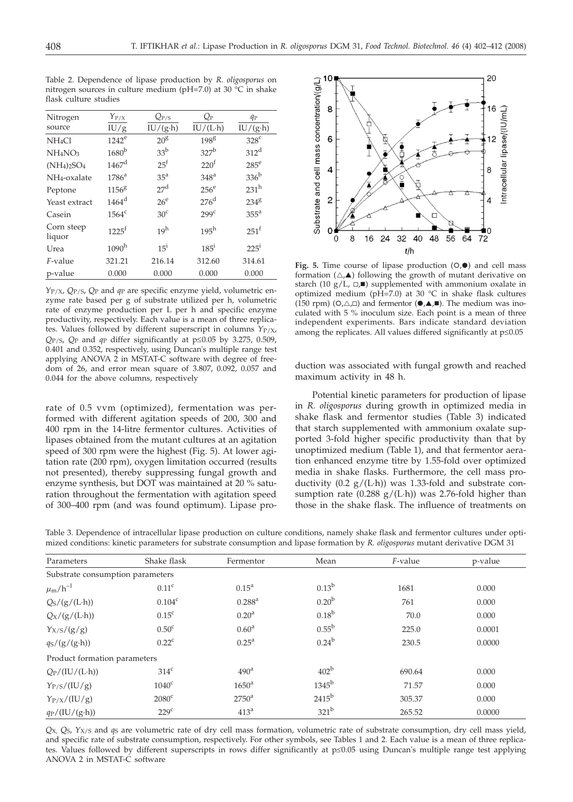Table 2. Dependence of lipase production by *R. oligosporus* on nitrogen sources in culture medium (pH=7.0) at 30 °C in shake flask culture studies

| Nitrogen                        | $Y_{P/X}$           | $Q_{P/S}$       | $Q_{\rm P}$      | $q_P$           |
|---------------------------------|---------------------|-----------------|------------------|-----------------|
| source                          | IU/g                | $IU/(g\cdot h)$ | $IU/(L \cdot h)$ | $IU/(g\cdot h)$ |
| NH <sub>4</sub> Cl              | $1242^e$            | $20^8$          | $198^{8}$        | $328^c$         |
| NH <sub>4</sub> NO <sub>3</sub> | 1680 <sup>b</sup>   | 33 <sup>b</sup> | $327^b$          | $312^d$         |
| $(NH_4)_2SO_4$                  | $1467$ <sup>d</sup> | $25^{\rm f}$    | 220 <sup>f</sup> | $285^e$         |
| NH <sub>4</sub> -oxalate        | $1786^a$            | 35 <sup>a</sup> | 348 <sup>a</sup> | $336^{\rm b}$   |
| Peptone                         | $1156^8$            | 27 <sup>d</sup> | $256^e$          | $231^h$         |
| Yeast extract                   | $1464^d$            | $26^{\circ}$    | $276^d$          | $234^8$         |
| Casein                          | $1564^c$            | 30 <sup>c</sup> | 299 <sup>c</sup> | $355^{\circ}$   |
| Corn steep<br>liquor            | $1225^f$            | 19 <sup>h</sup> | $195^h$          | $251^f$         |
| Urea                            | $1090^h$            | $15^{1}$        | $185^{\rm i}$    | $225^{\rm i}$   |
| F-value                         | 321.21              | 216.14          | 312.60           | 314.61          |
| p-value                         | 0.000               | 0.000           | 0.000            | 0.000           |

*Y*P/X, *Q*P/S, *Q*P and *q*P are specific enzyme yield, volumetric enzyme rate based per g of substrate utilized per h, volumetric rate of enzyme production per L per h and specific enzyme productivity, respectively. Each value is a mean of three replicates. Values followed by different superscript in columns  $Y_{P/X}$ ,  $Q_{P/S}$ ,  $Q_P$  and  $q_P$  differ significantly at  $p \le 0.05$  by 3.275, 0.509, 0.401 and 0.352, respectively, using Duncan's multiple range test applying ANOVA 2 in MSTAT-C software with degree of freedom of 26, and error mean square of 3.807, 0.092, 0.057 and 0.044 for the above columns, respectively

rate of 0.5 vvm (optimized), fermentation was performed with different agitation speeds of 200, 300 and 400 rpm in the 14-litre fermentor cultures. Activities of lipases obtained from the mutant cultures at an agitation speed of 300 rpm were the highest (Fig. 5). At lower agitation rate (200 rpm), oxygen limitation occurred (results not presented), thereby suppressing fungal growth and enzyme synthesis, but DOT was maintained at 20 % saturation throughout the fermentation with agitation speed of 300–400 rpm (and was found optimum). Lipase pro-

 $20$ Substrate and cell mass concentration/(g/L) 8 6 ntracellular lipase/(IU/mL) 6 8 4  $\overline{c}$ 4 ∩ 8 16 24 32 40 48 56 64  $72$  $\Omega$  $t/h$ 

Fig. 5. Time course of lipase production (O,<sup>o</sup>) and cell mass formation  $(\triangle, \triangle)$  following the growth of mutant derivative on starch (10  $g/L$ ,  $\Box$ ) supplemented with ammonium oxalate in optimized medium (pH=7.0) at 30  $^{\circ}$ C in shake flask cultures  $(150$  rpm)  $(O,\triangle,\Box)$  and fermentor  $(\bullet,\triangle,\blacksquare)$ . The medium was inoculated with 5 % inoculum size. Each point is a mean of three independent experiments. Bars indicate standard deviation among the replicates. All values differed significantly at  $p \leq 0.05$ 

duction was associated with fungal growth and reached maximum activity in 48 h.

Potential kinetic parameters for production of lipase in *R. oligosporus* during growth in optimized media in shake flask and fermentor studies (Table 3) indicated that starch supplemented with ammonium oxalate supported 3-fold higher specific productivity than that by unoptimized medium (Table 1), and that fermentor aeration enhanced enzyme titre by 1.55-fold over optimized media in shake flasks. Furthermore, the cell mass productivity (0.2  $g/(L \cdot h)$ ) was 1.33-fold and substrate consumption rate (0.288  $g/(L \cdot h)$ ) was 2.76-fold higher than those in the shake flask. The influence of treatments on

Table 3. Dependence of intracellular lipase production on culture conditions, namely shake flask and fermentor cultures under optimized conditions: kinetic parameters for substrate consumption and lipase formation by *R. oligosporus* mutant derivative DGM 31

| Parameters                                 | Shake flask       | Fermentor         | Mean                | F-value | p-value |
|--------------------------------------------|-------------------|-------------------|---------------------|---------|---------|
| Substrate consumption parameters           |                   |                   |                     |         |         |
| $\mu_{\rm m}/h^{-1}$                       | 0.11 <sup>c</sup> | $0.15^{\rm a}$    | $0.13^{b}$          | 1681    | 0.000   |
| $Qs/(g/(L \cdot h))$                       | $0.104^c$         | $0.288^{a}$       | 0.20 <sup>b</sup>   | 761     | 0.000   |
| $Qx/(g/(L \cdot h))$                       | 0.15 <sup>c</sup> | $0.20^{\rm a}$    | $0.18^{b}$          | 70.0    | 0.000   |
| $Y_{X/S}/(g/g)$                            | 0.50 <sup>c</sup> | $0.60^{\rm a}$    | $0.55^{\rm b}$      | 225.0   | 0.0001  |
| $q_S/(g/(g \cdot h))$                      | $0.22^{\circ}$    | $0.25^{\text{a}}$ | $0.24^{b}$          | 230.5   | 0.0000  |
| Product formation parameters               |                   |                   |                     |         |         |
| $Q_P/(IU/(L \cdot h))$                     | $314^{\circ}$     | 490 <sup>a</sup>  | 402 <sup>b</sup>    | 690.64  | 0.000   |
| $Y_{P/S}/(IU/g)$                           | $1040^{\circ}$    | 1650 <sup>a</sup> | $1345^{\mathrm{b}}$ | 71.57   | 0.000   |
| $Y_{P/X}/(IU/g)$                           | $2080^{\circ}$    | $2750^{\circ}$    | $2415^{b}$          | 305.37  | 0.000   |
| $q_P/(\text{IU}/(\text{g}\cdot \text{h}))$ | $229^{\circ}$     | 413 <sup>a</sup>  | 321 <sup>b</sup>    | 265.52  | 0.0000  |

*Q*X, *Q*S, *Y*X/S and *q*S are volumetric rate of dry cell mass formation, volumetric rate of substrate consumption, dry cell mass yield, and specific rate of substrate consumption, respectively. For other symbols, see Tables 1 and 2. Each value is a mean of three replicates. Values followed by different superscripts in rows differ significantly at p*£*0.05 using Duncan's multiple range test applying ANOVA 2 in MSTAT-C software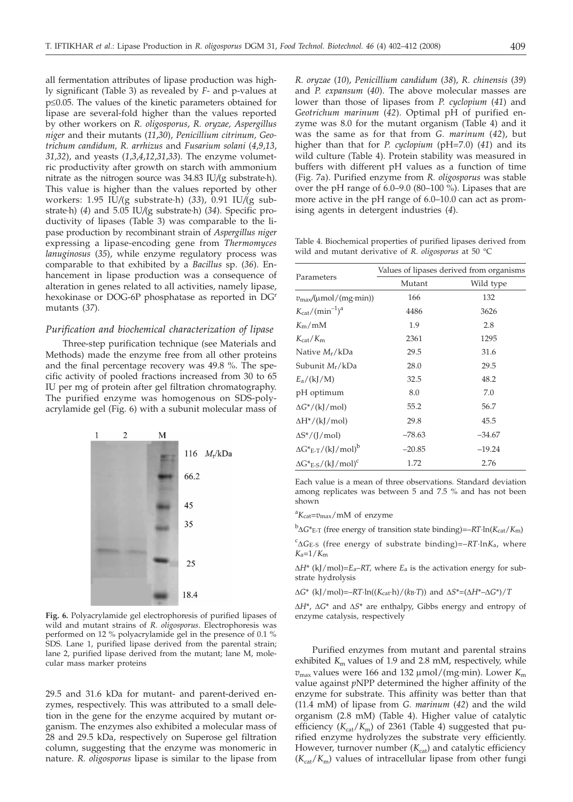all fermentation attributes of lipase production was highly significant (Table 3) as revealed by *F*- and p-values at  $p \leq 0.05$ . The values of the kinetic parameters obtained for lipase are several-fold higher than the values reported by other workers on *R. oligosporus*, *R. oryzae, Aspergillus niger* and their mutants (*11*,*30*), *Penicillium citrinum, Geotrichum candidum, R. arrhizus* and *Fusarium solani* (*4*,*9*,*13*, *31,32*), and yeasts (*1*,*3*,*4*,*12*,*31*,*33*). The enzyme volumetric productivity after growth on starch with ammonium nitrate as the nitrogen source was 34.83 IU*/*(g substrate·h). This value is higher than the values reported by other workers: 1.95 IU*/*(g substrate·h) (*33*), 0.91 IU*/*(g substrate·h) (*4*) and 5.05 IU*/*(g substrate·h) (*34*). Specific productivity of lipases (Table 3) was comparable to the lipase production by recombinant strain of *Aspergillus niger* expressing a lipase-encoding gene from *Thermomyces lanuginosus* (*35*), while enzyme regulatory process was comparable to that exhibited by a *Bacillus* sp. (*36*). Enhancement in lipase production was a consequence of alteration in genes related to all activities, namely lipase, hexokinase or DOG-6P phosphatase as reported in DGr mutants (*37*).

# *Purification and biochemical characterization of lipase*

Three-step purification technique (see Materials and Methods) made the enzyme free from all other proteins and the final percentage recovery was 49.8 %. The specific activity of pooled fractions increased from 30 to 65 IU per mg of protein after gel filtration chromatography. The purified enzyme was homogenous on SDS-polyacrylamide gel (Fig. 6) with a subunit molecular mass of



**Fig. 6.** Polyacrylamide gel electrophoresis of purified lipases of wild and mutant strains of *R. oligosporus*. Electrophoresis was performed on 12 % polyacrylamide gel in the presence of 0.1 % SDS. Lane 1, purified lipase derived from the parental strain; lane 2, purified lipase derived from the mutant; lane M, molecular mass marker proteins

29.5 and 31.6 kDa for mutant- and parent-derived enzymes, respectively. This was attributed to a small deletion in the gene for the enzyme acquired by mutant organism. The enzymes also exhibited a molecular mass of 28 and 29.5 kDa, respectively on Superose gel filtration column, suggesting that the enzyme was monomeric in nature. *R. oligosporus* lipase is similar to the lipase from

*R. oryzae* (*10*), *Penicillium candidum* (*38*), *R. chinensis* (*39*) and *P. expansum* (*40*). The above molecular masses are lower than those of lipases from *P. cyclopium* (*41*) and *Geotrichum marinum* (*42*). Optimal pH of purified enzyme was 8.0 for the mutant organism (Table 4) and it was the same as for that from *G. marinum* (*42*), but higher than that for *P. cyclopium* (pH=7.0) (*41*) and its wild culture (Table 4). Protein stability was measured in buffers with different pH values as a function of time (Fig. 7a). Purified enzyme from *R. oligosporus* was stable over the pH range of 6.0–9.0 (80–100 %). Lipases that are more active in the pH range of 6.0–10.0 can act as promising agents in detergent industries (*4*).

Table 4. Biochemical properties of purified lipases derived from wild and mutant derivative of *R. oligosporus* at 50 °C

|                                          | Values of lipases derived from organisms |           |  |  |
|------------------------------------------|------------------------------------------|-----------|--|--|
| Parameters                               | Mutant                                   | Wild type |  |  |
| $v_{\rm max}/(\mu$ mol/(mg·min))         | 166                                      | 132       |  |  |
| $K_{cat}/(\text{min}^{-1})^a$            | 4486                                     | 3626      |  |  |
| $K_{\rm m}/\rm{mM}$                      | 1.9                                      | 2.8       |  |  |
| $K_{\text{cat}}/K_{\text{m}}$            | 2361                                     | 1295      |  |  |
| Native $M_r/kDa$                         | 29.5                                     | 31.6      |  |  |
| Subunit M <sub>r</sub> /kDa              | 28.0                                     | 29.5      |  |  |
| $E_a/(kJ/M)$                             | 32.5                                     | 48.2      |  |  |
| pH optimum                               | 8.0                                      | 7.0       |  |  |
| $\Delta G^*/(\mathrm{k} / \mathrm{mol})$ | 55.2                                     | 56.7      |  |  |
| $\Delta H^*/(kJ/mol)$                    | 29.8                                     | 45.5      |  |  |
| $\Delta S^*/(J/mol)$                     | $-78.63$                                 | $-34.67$  |  |  |
| $\Delta G^*_{E-T}/(kJ/mol)^b$            | $-20.85$                                 | $-19.24$  |  |  |
| $\Delta G^*$ E-S/(kJ/mol) <sup>c</sup>   | 1.72                                     | 2.76      |  |  |

Each value is a mean of three observations. Standard deviation among replicates was between 5 and 7.5 % and has not been shown

a *K*cat=*v*max/mM of enzyme

b <sup>D</sup>*G*\*E-T (free energy of transition state binding)=–*RT*·ln(*K*cat/*K*m)

 ${}^{C}\Delta G_{E-S}$  (free energy of substrate binding)=–*RT*·ln*K*<sub>a</sub>, where  $K = 1/K$ . *K*a=1/*K*m

 $\Delta H^*$  (kJ/mol)= $E_a$ -*RT*, where  $E_a$  is the activation energy for substrate hydrolysis

 $\Delta G^*$  (kJ/mol)=– $RT$ ·ln(( $K_{\text{cat}}$ ·h)/( $k_B$ ·*T*)) and  $\Delta S^* = (\Delta H^* - \Delta G^*)/T$ 

 $\Delta H^*$ ,  $\Delta G^*$  and  $\Delta S^*$  are enthalpy, Gibbs energy and entropy of enzyme catalysis, respectively

Purified enzymes from mutant and parental strains exhibited  $K<sub>m</sub>$  values of 1.9 and 2.8 mM, respectively, while  $v_{\text{max}}$  values were 166 and 132  $\mu$ mol/(mg·min). Lower  $K_{\text{max}}$ value against *p*NPP determined the higher affinity of the enzyme for substrate. This affinity was better than that (11.4 mM) of lipase from *G. marinum* (*42*) and the wild organism (2.8 mM) (Table 4). Higher value of catalytic efficiency  $(K_{cat}/K_m)$  of 2361 (Table 4) suggested that purified enzyme hydrolyzes the substrate very efficiently. However, turnover number  $(K_{cat})$  and catalytic efficiency  $(K_{cat}/K_m)$  values of intracellular lipase from other fungi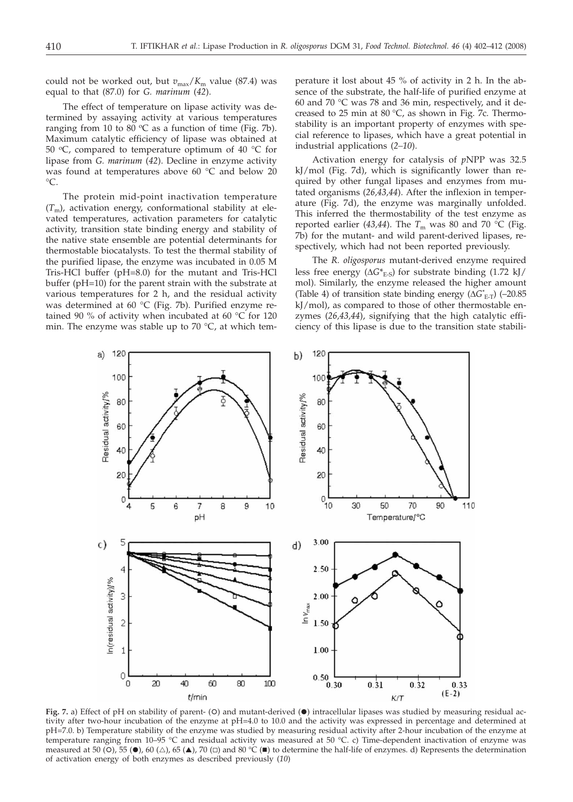could not be worked out, but  $v_{\text{max}}/K_{\text{m}}$  value (87.4) was equal to that (87.0) for *G. marinum* (*42*).

The effect of temperature on lipase activity was determined by assaying activity at various temperatures ranging from 10 to 80  $\mathrm{^{\circ}C}$  as a function of time (Fig. 7b). Maximum catalytic efficiency of lipase was obtained at 50  $\degree$ C, compared to temperature optimum of 40  $\degree$ C for lipase from *G. marinum* (*42*). Decline in enzyme activity was found at temperatures above 60 °C and below 20  $^{\circ}C.$ 

The protein mid-point inactivation temperature  $(T<sub>m</sub>)$ , activation energy, conformational stability at elevated temperatures, activation parameters for catalytic activity, transition state binding energy and stability of the native state ensemble are potential determinants for thermostable biocatalysts. To test the thermal stability of the purified lipase, the enzyme was incubated in 0.05 M Tris-HCl buffer (pH=8.0) for the mutant and Tris-HCl buffer (pH=10) for the parent strain with the substrate at various temperatures for 2 h, and the residual activity was determined at 60 °C (Fig. 7b). Purified enzyme retained 90 % of activity when incubated at 60 °C for 120 min. The enzyme was stable up to 70  $^{\circ}$ C, at which tem-

perature it lost about 45 % of activity in 2 h. In the absence of the substrate, the half-life of purified enzyme at 60 and 70 °C was 78 and 36 min, respectively, and it decreased to 25 min at 80  $\degree$ C, as shown in Fig. 7c. Thermostability is an important property of enzymes with special reference to lipases, which have a great potential in industrial applications (*2–10*).

Activation energy for catalysis of *p*NPP was 32.5 kJ/mol (Fig. 7d), which is significantly lower than required by other fungal lipases and enzymes from mutated organisms (*26,43,44*). After the inflexion in temperature (Fig. 7d), the enzyme was marginally unfolded. This inferred the thermostability of the test enzyme as reported earlier (43,44). The  $T_m$  was 80 and 70 °C (Fig. 7b) for the mutant- and wild parent-derived lipases, respectively, which had not been reported previously.

The *R. oligosporus* mutant-derived enzyme required less free energy  $(\Delta G^*_{E-S})$  for substrate binding (1.72 kJ/ mol). Similarly, the enzyme released the higher amount (Table 4) of transition state binding energy  $(\Delta G^*_{E,T})$  (–20.85)<br>kL/mol), as compared to those of other thermostable enkJ/mol), as compared to those of other thermostable enzymes (*26,43,44*), signifying that the high catalytic efficiency of this lipase is due to the transition state stabili-



Fig. 7. a) Effect of pH on stability of parent- (O) and mutant-derived (<sup>o</sup>) intracellular lipases was studied by measuring residual activity after two-hour incubation of the enzyme at pH=4.0 to 10.0 and the activity was expressed in percentage and determined at pH=7.0. b) Temperature stability of the enzyme was studied by measuring residual activity after 2-hour incubation of the enzyme at temperature ranging from 10–95 °C and residual activity was measured at 50 °C. c) Time-dependent inactivation of enzyme was measured at 50 (O), 55 ( $\bullet$ ), 60 ( $\triangle$ ), 65 ( $\blacktriangle$ ), 70 ( $\Box$ ) and 80 °C ( $\blacksquare$ ) to determine the half-life of enzymes. d) Represents the determination of activation energy of both enzymes as described previously (*10*)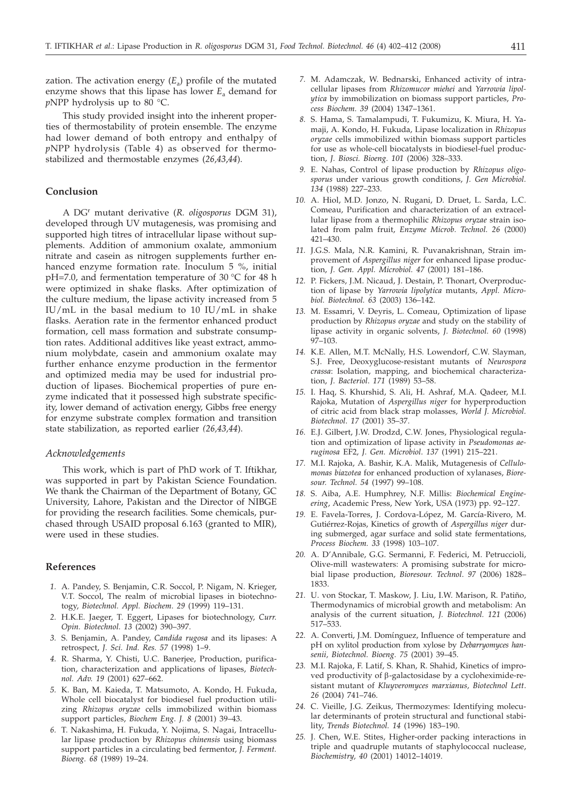zation. The activation energy  $(E_a)$  profile of the mutated enzyme shows that this lipase has lower  $E_a$  demand for *p*NPP hydrolysis up to 80 °C.

This study provided insight into the inherent properties of thermostability of protein ensemble. The enzyme had lower demand of both entropy and enthalpy of *p*NPP hydrolysis (Table 4) as observed for thermostabilized and thermostable enzymes (*26*,*43*,*44*).

# **Conclusion**

A DGr mutant derivative (*R. oligosporus* DGM 31), developed through UV mutagenesis, was promising and supported high titres of intracellular lipase without supplements. Addition of ammonium oxalate, ammonium nitrate and casein as nitrogen supplements further enhanced enzyme formation rate. Inoculum 5 %, initial pH=7.0, and fermentation temperature of 30 °C for 48 h were optimized in shake flasks. After optimization of the culture medium, the lipase activity increased from 5 IU/mL in the basal medium to 10 IU/mL in shake flasks. Aeration rate in the fermentor enhanced product formation, cell mass formation and substrate consumption rates. Additional additives like yeast extract, ammonium molybdate, casein and ammonium oxalate may further enhance enzyme production in the fermentor and optimized media may be used for industrial production of lipases. Biochemical properties of pure enzyme indicated that it possessed high substrate specificity, lower demand of activation energy, Gibbs free energy for enzyme substrate complex formation and transition state stabilization, as reported earlier *(26,43,44*).

#### *Acknowledgements*

This work, which is part of PhD work of T. Iftikhar, was supported in part by Pakistan Science Foundation. We thank the Chairman of the Department of Botany, GC University, Lahore, Pakistan and the Director of NIBGE for providing the research facilities. Some chemicals, purchased through USAID proposal 6.163 (granted to MIR), were used in these studies.

## **References**

- *1.* A. Pandey, S. Benjamin, C.R. Soccol, P. Nigam, N. Krieger, V.T. Soccol, The realm of microbial lipases in biotechnotogy, *Biotechnol. Appl. Biochem*. *29* (1999) 119–131.
- *2.* H.K.E. Jaeger, T. Eggert, Lipases for biotechnology, *Curr. Opin. Biotechnol. 13* (2002) 390–397.
- *3.* S. Benjamin, A. Pandey, *Candida rugosa* and its lipases: A retrospect, *J. Sci. Ind. Res. 57* (1998) 1–9.
- *4.* R. Sharma, Y. Chisti, U.C. Banerjee, Production, purification, characterization and applications of lipases, *Biotechnol. Adv. 19* (2001) 627–662.
- *5.* K. Ban, M. Kaieda, T. Matsumoto, A. Kondo, H. Fukuda, Whole cell biocatalyst for biodiesel fuel production utilizing *Rhizopus oryzae* cells immobilized within biomass support particles, *Biochem Eng*. *J. 8* (2001) 39–43.
- *6.* T. Nakashima, H. Fukuda, Y. Nojima, S. Nagai, Intracellular lipase production by *Rhizopus chinensis* using biomass support particles in a circulating bed fermentor, *J. Ferment. Bioeng. 68* (1989) 19–24.
- *7.* M. Adamczak, W. Bednarski, Enhanced activity of intracellular lipases from *Rhizomucor miehei* and *Yarrowia lipolytica* by immobilization on biomass support particles, *Process Biochem. 39* (2004) 1347–1361.
- *8.* S. Hama, S. Tamalampudi, T. Fukumizu, K. Miura, H. Yamaji, A. Kondo, H. Fukuda, Lipase localization in *Rhizopus oryzae* cells immobilized within biomass support particles for use as whole-cell biocatalysts in biodiesel-fuel production, *J. Biosci. Bioeng. 101* (2006) 328–333.
- *9.* E. Nahas, Control of lipase production by *Rhizopus oligosporus* under various growth conditions, *J. Gen Microbiol. 134* (1988) 227–233.
- *10.* A. Hiol, M.D. Jonzo, N. Rugani, D. Druet, L. Sarda, L.C. Comeau, Purification and characterization of an extracellular lipase from a thermophilic *Rhizopus oryzae* strain isolated from palm fruit, *Enzyme Microb. Technol. 26* (2000) 421–430.
- *11.* J.G.S. Mala, N.R. Kamini, R. Puvanakrishnan, Strain improvement of *Aspergillus niger* for enhanced lipase production, *J. Gen. Appl. Microbiol. 47* (2001) 181–186.
- *12.* P. Fickers, J.M. Nicaud, J. Destain, P. Thonart, Overproduction of lipase by *Yarrowia lipolytica* mutants, *Appl. Microbiol. Biotechnol. 63* (2003) 136–142.
- *13.* M. Essamri, V. Deyris, L. Comeau, Optimization of lipase production by *Rhizopus oryzae* and study on the stability of lipase activity in organic solvents, *J. Biotechnol. 60* (1998) 97–103.
- *14.* K.E. Allen, M.T. McNally, H.S. Lowendorf, C.W. Slayman, S.J. Free, Deoxyglucose-resistant mutants of *Neurospora crassa*: Isolation, mapping, and biochemical characterization, *J. Bacteriol*. *171* (1989) 53–58.
- *15.* I. Haq, S. Khurshid, S. Ali, H. Ashraf, M.A. Qadeer, M.I. Rajoka, Mutation of *Aspergillus niger* for hyperproduction of citric acid from black strap molasses*, World J. Microbiol. Biotechnol*. *17* (2001) 35–37.
- *16.* E.J. Gilbert, J.W. Drodzd, C.W. Jones, Physiological regulation and optimization of lipase activity in *Pseudomonas aeruginosa* EF2, *J. Gen. Microbiol*. *137* (1991) 215–221.
- *17.* M.I. Rajoka, A. Bashir, K.A. Malik, Mutagenesis of *Cellulomonas biazotea* for enhanced production of xylanases, *Bioresour. Technol. 54* (1997) 99–108.
- *18.* S. Aiba, A.E. Humphrey, N.F. Millis: *Biochemical Engineering*, Academic Press, New York, USA (1973) pp. 92–127.
- *19.* E. Favela-Torres, J. Cordova-López, M. García-Rivero, M. Gutiérrez-Rojas, Kinetics of growth of *Aspergillus niger* during submerged, agar surface and solid state fermentations, *Process Biochem. 33* (1998) 103–107.
- *20.* A. D'Annibale, G.G. Sermanni, F. Federici, M. Petruccioli, Olive-mill wastewaters: A promising substrate for microbial lipase production, *Bioresour. Technol*. *97* (2006) 1828– 1833.
- *21.* U. von Stockar, T. Maskow, J. Liu, I.W. Marison, R. Patiño, Thermodynamics of microbial growth and metabolism: An analysis of the current situation, *J. Biotechnol. 121* (2006) 517–533.
- *22.* A. Converti, J.M. Domínguez, Influence of temperature and pH on xylitol production from xylose by *Debarryomyces hansenii, Biotechnol. Bioeng. 75* (2001) 39–45.
- *23.* M.I. Rajoka, F. Latif, S. Khan, R. Shahid, Kinetics of improved productivity of  $\beta$ -galactosidase by a cycloheximide-resistant mutant of *Kluyveromyces marxianus, Biotechnol Lett*. *26* (2004) 741–746.
- *24.* C. Vieille, J.G. Zeikus, Thermozymes: Identifying molecular determinants of protein structural and functional stability, *Trends Biotechnol. 14* (1996) 183–190.
- *25.* J. Chen, W.E. Stites, Higher-order packing interactions in triple and quadruple mutants of staphylococcal nuclease, *Biochemistry, 40* (2001) 14012–14019.